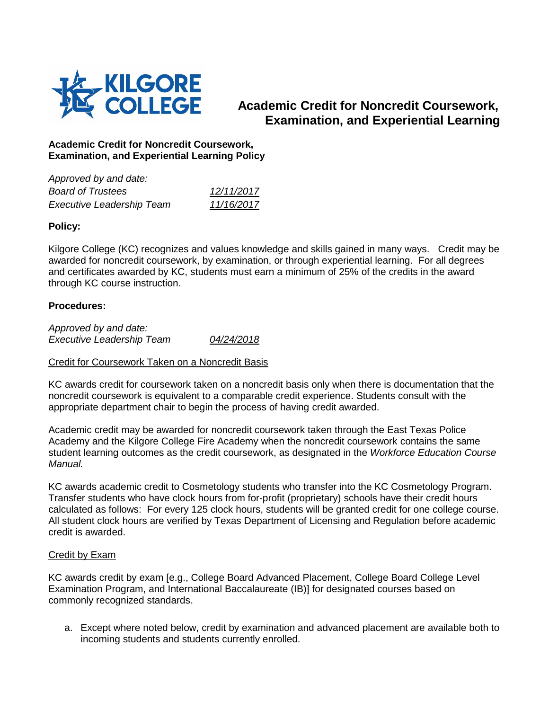

# **Academic Credit for Noncredit Coursework, Examination, and Experiential Learning**

## **Academic Credit for Noncredit Coursework, Examination, and Experiential Learning Policy**

| 12/11/2017 |
|------------|
| 11/16/2017 |
|            |

## **Policy:**

Kilgore College (KC) recognizes and values knowledge and skills gained in many ways. Credit may be awarded for noncredit coursework, by examination, or through experiential learning. For all degrees and certificates awarded by KC, students must earn a minimum of 25% of the credits in the award through KC course instruction.

## **Procedures:**

*Approved by and date: Executive Leadership Team 04/24/2018*

## Credit for Coursework Taken on a Noncredit Basis

KC awards credit for coursework taken on a noncredit basis only when there is documentation that the noncredit coursework is equivalent to a comparable credit experience. Students consult with the appropriate department chair to begin the process of having credit awarded.

Academic credit may be awarded for noncredit coursework taken through the East Texas Police Academy and the Kilgore College Fire Academy when the noncredit coursework contains the same student learning outcomes as the credit coursework, as designated in the *Workforce Education Course Manual.*

KC awards academic credit to Cosmetology students who transfer into the KC Cosmetology Program. Transfer students who have clock hours from for-profit (proprietary) schools have their credit hours calculated as follows: For every 125 clock hours, students will be granted credit for one college course. All student clock hours are verified by Texas Department of Licensing and Regulation before academic credit is awarded.

#### Credit by Exam

KC awards credit by exam [e.g., College Board Advanced Placement, College Board College Level Examination Program, and International Baccalaureate (IB)] for designated courses based on commonly recognized standards.

a. Except where noted below, credit by examination and advanced placement are available both to incoming students and students currently enrolled.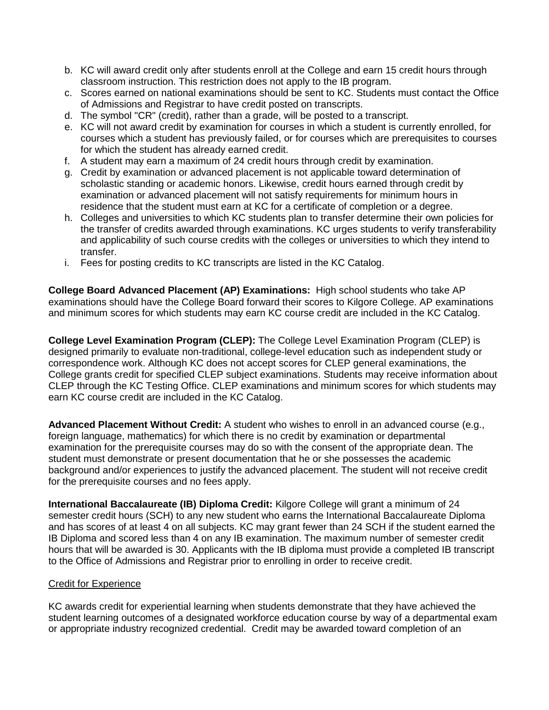- b. KC will award credit only after students enroll at the College and earn 15 credit hours through classroom instruction. This restriction does not apply to the IB program.
- c. Scores earned on national examinations should be sent to KC. Students must contact the Office of Admissions and Registrar to have credit posted on transcripts.
- d. The symbol "CR" (credit), rather than a grade, will be posted to a transcript.
- e. KC will not award credit by examination for courses in which a student is currently enrolled, for courses which a student has previously failed, or for courses which are prerequisites to courses for which the student has already earned credit.
- f. A student may earn a maximum of 24 credit hours through credit by examination.
- g. Credit by examination or advanced placement is not applicable toward determination of scholastic standing or academic honors. Likewise, credit hours earned through credit by examination or advanced placement will not satisfy requirements for minimum hours in residence that the student must earn at KC for a certificate of completion or a degree.
- h. Colleges and universities to which KC students plan to transfer determine their own policies for the transfer of credits awarded through examinations. KC urges students to verify transferability and applicability of such course credits with the colleges or universities to which they intend to transfer.
- i. Fees for posting credits to KC transcripts are listed in the KC Catalog.

**College Board Advanced Placement (AP) Examinations:** High school students who take AP examinations should have the College Board forward their scores to Kilgore College. AP examinations and minimum scores for which students may earn KC course credit are included in the KC Catalog.

**College Level Examination Program (CLEP):** The College Level Examination Program (CLEP) is designed primarily to evaluate non-traditional, college-level education such as independent study or correspondence work. Although KC does not accept scores for CLEP general examinations, the College grants credit for specified CLEP subject examinations. Students may receive information about CLEP through the KC Testing Office. CLEP examinations and minimum scores for which students may earn KC course credit are included in the KC Catalog.

**Advanced Placement Without Credit:** A student who wishes to enroll in an advanced course (e.g., foreign language, mathematics) for which there is no credit by examination or departmental examination for the prerequisite courses may do so with the consent of the appropriate dean. The student must demonstrate or present documentation that he or she possesses the academic background and/or experiences to justify the advanced placement. The student will not receive credit for the prerequisite courses and no fees apply.

**International Baccalaureate (IB) Diploma Credit:** Kilgore College will grant a minimum of 24 semester credit hours (SCH) to any new student who earns the International Baccalaureate Diploma and has scores of at least 4 on all subjects. KC may grant fewer than 24 SCH if the student earned the IB Diploma and scored less than 4 on any IB examination. The maximum number of semester credit hours that will be awarded is 30. Applicants with the IB diploma must provide a completed IB transcript to the Office of Admissions and Registrar prior to enrolling in order to receive credit.

#### Credit for Experience

KC awards credit for experiential learning when students demonstrate that they have achieved the student learning outcomes of a designated workforce education course by way of a departmental exam or appropriate industry recognized credential. Credit may be awarded toward completion of an